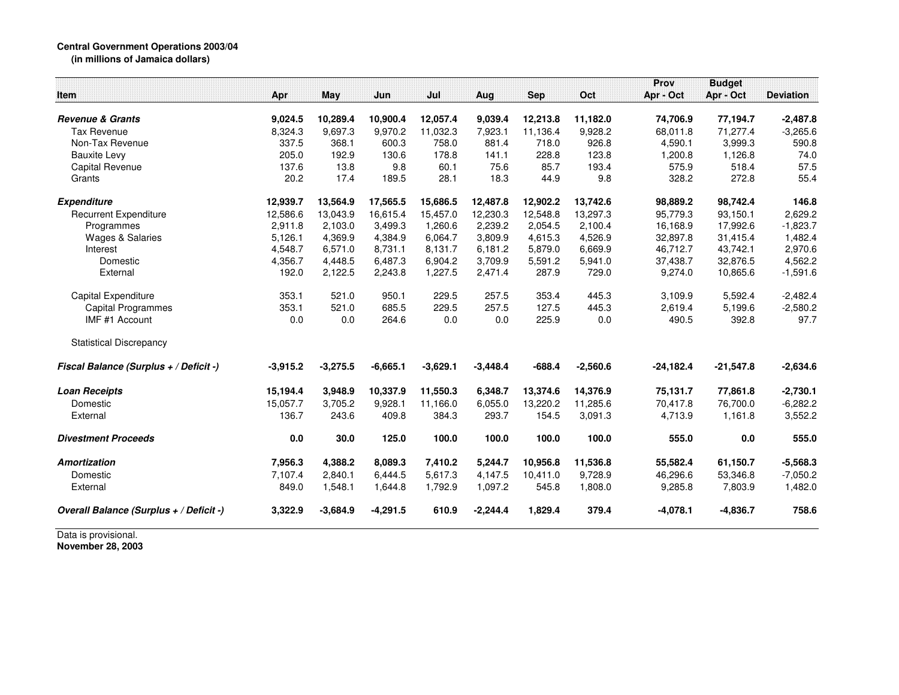## **Central Government Operations 2003/04 (in millions of Jamaica dollars)**

| Item                                    | Apr        | May        | Jun        | Jul        | Aug        | <b>Sep</b> | Oct        | Prov<br>Apr - Oct | <b>Budget</b><br>Apr - Oct | <b>Deviation</b> |
|-----------------------------------------|------------|------------|------------|------------|------------|------------|------------|-------------------|----------------------------|------------------|
| <b>Revenue &amp; Grants</b>             | 9,024.5    | 10,289.4   | 10,900.4   | 12,057.4   | 9,039.4    | 12,213.8   | 11,182.0   | 74,706.9          | 77,194.7                   | $-2,487.8$       |
| <b>Tax Revenue</b>                      | 8,324.3    | 9,697.3    | 9,970.2    | 11,032.3   | 7,923.1    | 11,136.4   | 9,928.2    | 68,011.8          | 71,277.4                   | $-3,265.6$       |
| Non-Tax Revenue                         | 337.5      | 368.1      | 600.3      | 758.0      | 881.4      | 718.0      | 926.8      | 4,590.1           | 3,999.3                    | 590.8            |
| <b>Bauxite Levy</b>                     | 205.0      | 192.9      | 130.6      | 178.8      | 141.1      | 228.8      | 123.8      | 1,200.8           | 1,126.8                    | 74.0             |
| Capital Revenue                         | 137.6      | 13.8       | 9.8        | 60.1       | 75.6       | 85.7       | 193.4      | 575.9             | 518.4                      | 57.5             |
| Grants                                  | 20.2       | 17.4       | 189.5      | 28.1       | 18.3       | 44.9       | 9.8        | 328.2             | 272.8                      | 55.4             |
| <b>Expenditure</b>                      | 12,939.7   | 13,564.9   | 17,565.5   | 15,686.5   | 12,487.8   | 12,902.2   | 13,742.6   | 98,889.2          | 98,742.4                   | 146.8            |
| <b>Recurrent Expenditure</b>            | 12,586.6   | 13,043.9   | 16,615.4   | 15,457.0   | 12,230.3   | 12,548.8   | 13,297.3   | 95,779.3          | 93,150.1                   | 2,629.2          |
| Programmes                              | 2,911.8    | 2,103.0    | 3,499.3    | 1,260.6    | 2,239.2    | 2,054.5    | 2,100.4    | 16,168.9          | 17,992.6                   | $-1,823.7$       |
| <b>Wages &amp; Salaries</b>             | 5,126.1    | 4,369.9    | 4,384.9    | 6,064.7    | 3,809.9    | 4,615.3    | 4,526.9    | 32,897.8          | 31,415.4                   | 1,482.4          |
| Interest                                | 4,548.7    | 6,571.0    | 8,731.1    | 8,131.7    | 6,181.2    | 5,879.0    | 6,669.9    | 46,712.7          | 43,742.1                   | 2,970.6          |
| Domestic                                | 4,356.7    | 4,448.5    | 6,487.3    | 6,904.2    | 3,709.9    | 5,591.2    | 5,941.0    | 37,438.7          | 32,876.5                   | 4,562.2          |
| External                                | 192.0      | 2,122.5    | 2,243.8    | 1,227.5    | 2,471.4    | 287.9      | 729.0      | 9,274.0           | 10,865.6                   | $-1,591.6$       |
| Capital Expenditure                     | 353.1      | 521.0      | 950.1      | 229.5      | 257.5      | 353.4      | 445.3      | 3,109.9           | 5,592.4                    | $-2,482.4$       |
| <b>Capital Programmes</b>               | 353.1      | 521.0      | 685.5      | 229.5      | 257.5      | 127.5      | 445.3      | 2,619.4           | 5,199.6                    | $-2,580.2$       |
| IMF #1 Account                          | 0.0        | 0.0        | 264.6      | 0.0        | 0.0        | 225.9      | 0.0        | 490.5             | 392.8                      | 97.7             |
| <b>Statistical Discrepancy</b>          |            |            |            |            |            |            |            |                   |                            |                  |
| Fiscal Balance (Surplus + / Deficit -)  | $-3,915.2$ | $-3,275.5$ | $-6,665.1$ | $-3,629.1$ | $-3,448.4$ | $-688.4$   | $-2,560.6$ | $-24,182.4$       | $-21,547.8$                | $-2,634.6$       |
| <b>Loan Receipts</b>                    | 15,194.4   | 3,948.9    | 10,337.9   | 11,550.3   | 6,348.7    | 13,374.6   | 14,376.9   | 75,131.7          | 77,861.8                   | $-2,730.1$       |
| Domestic                                | 15,057.7   | 3,705.2    | 9,928.1    | 11,166.0   | 6,055.0    | 13,220.2   | 11,285.6   | 70,417.8          | 76,700.0                   | $-6,282.2$       |
| External                                | 136.7      | 243.6      | 409.8      | 384.3      | 293.7      | 154.5      | 3,091.3    | 4,713.9           | 1,161.8                    | 3,552.2          |
| <b>Divestment Proceeds</b>              | 0.0        | 30.0       | 125.0      | 100.0      | 100.0      | 100.0      | 100.0      | 555.0             | 0.0                        | 555.0            |
| <b>Amortization</b>                     | 7,956.3    | 4,388.2    | 8,089.3    | 7,410.2    | 5,244.7    | 10,956.8   | 11,536.8   | 55,582.4          | 61,150.7                   | $-5,568.3$       |
| Domestic                                | 7,107.4    | 2,840.1    | 6,444.5    | 5,617.3    | 4,147.5    | 10,411.0   | 9,728.9    | 46,296.6          | 53,346.8                   | $-7,050.2$       |
| External                                | 849.0      | 1,548.1    | 1,644.8    | 1,792.9    | 1,097.2    | 545.8      | 1,808.0    | 9,285.8           | 7,803.9                    | 1,482.0          |
| Overall Balance (Surplus + / Deficit -) | 3,322.9    | $-3,684.9$ | $-4,291.5$ | 610.9      | $-2,244.4$ | 1,829.4    | 379.4      | $-4,078.1$        | $-4,836.7$                 | 758.6            |
| Data is provisional.                    |            |            |            |            |            |            |            |                   |                            |                  |

**November 28, 2003**